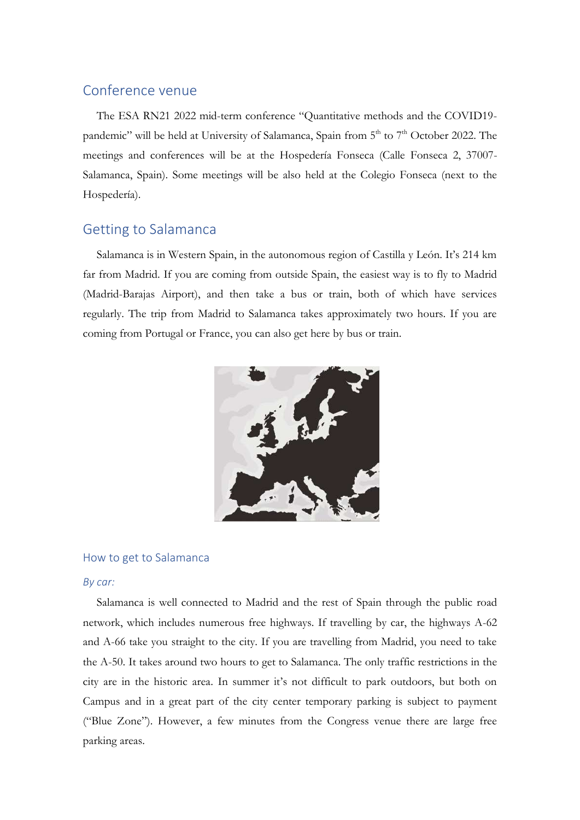# Conference venue

The ESA RN21 2022 mid-term conference "Quantitative methods and the COVID19 pandemic" will be held at University of Salamanca, Spain from  $5<sup>th</sup>$  to  $7<sup>th</sup>$  October 2022. The meetings and conferences will be at the Hospedería Fonseca (Calle Fonseca 2, 37007- Salamanca, Spain). Some meetings will be also held at the Colegio Fonseca (next to the Hospedería).

# Getting to Salamanca

Salamanca is in Western Spain, in the autonomous region of Castilla y León. It's 214 km far from Madrid. If you are coming from outside Spain, the easiest way is to fly to Madrid (Madrid-Barajas Airport), and then take a bus or train, both of which have services regularly. The trip from Madrid to Salamanca takes approximately two hours. If you are coming from Portugal or France, you can also get here by bus or train.



## How to get to Salamanca

### *By car:*

Salamanca is well connected to Madrid and the rest of Spain through the public road network, which includes numerous free highways. If travelling by car, the highways A-62 and A-66 take you straight to the city. If you are travelling from Madrid, you need to take the A-50. It takes around two hours to get to Salamanca. The only traffic restrictions in the city are in the historic area. In summer it's not difficult to park outdoors, but both on Campus and in a great part of the city center temporary parking is subject to payment ("Blue Zone"). However, a few minutes from the Congress venue there are large free parking areas.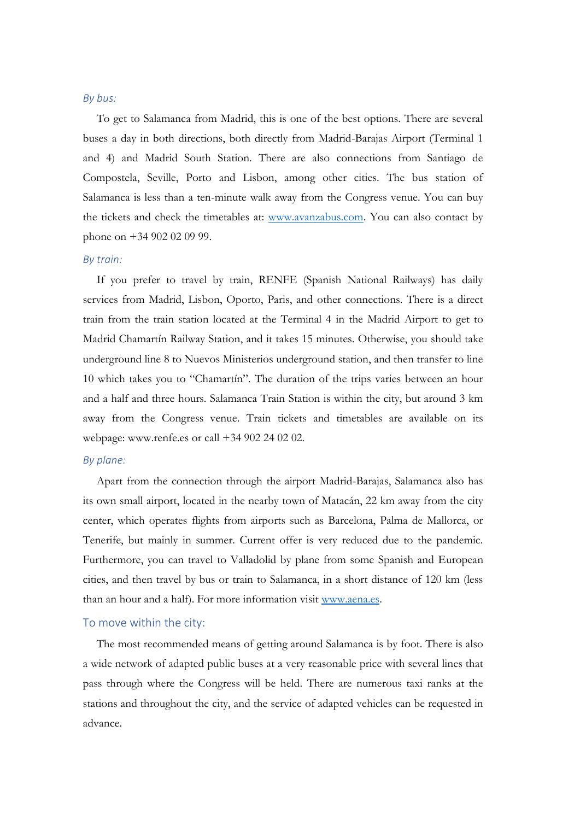#### *By bus:*

To get to Salamanca from Madrid, this is one of the best options. There are several buses a day in both directions, both directly from Madrid-Barajas Airport (Terminal 1 and 4) and Madrid South Station. There are also connections from Santiago de Compostela, Seville, Porto and Lisbon, among other cities. The bus station of Salamanca is less than a ten-minute walk away from the Congress venue. You can buy the tickets and check the timetables at: [www.avanzabus.com.](http://www.avanzabus.com/) You can also contact by phone on +34 902 02 09 99.

#### *By train:*

If you prefer to travel by train, RENFE (Spanish National Railways) has daily services from Madrid, Lisbon, Oporto, Paris, and other connections. There is a direct train from the train station located at the Terminal 4 in the Madrid Airport to get to Madrid Chamartín Railway Station, and it takes 15 minutes. Otherwise, you should take underground line 8 to Nuevos Ministerios underground station, and then transfer to line 10 which takes you to "Chamartín". The duration of the trips varies between an hour and a half and three hours. Salamanca Train Station is within the city, but around 3 km away from the Congress venue. Train tickets and timetables are available on its webpage: www.renfe.es or call +34 902 24 02 02.

#### *By plane:*

Apart from the connection through the airport Madrid-Barajas, Salamanca also has its own small airport, located in the nearby town of Matacán, 22 km away from the city center, which operates flights from airports such as Barcelona, Palma de Mallorca, or Tenerife, but mainly in summer. Current offer is very reduced due to the pandemic. Furthermore, you can travel to Valladolid by plane from some Spanish and European cities, and then travel by bus or train to Salamanca, in a short distance of 120 km (less than an hour and a half). For more information visit [www.aena.es.](http://www.aena.es/)

### To move within the city:

The most recommended means of getting around Salamanca is by foot. There is also a wide network of adapted public buses at a very reasonable price with several lines that pass through where the Congress will be held. There are numerous taxi ranks at the stations and throughout the city, and the service of adapted vehicles can be requested in advance.